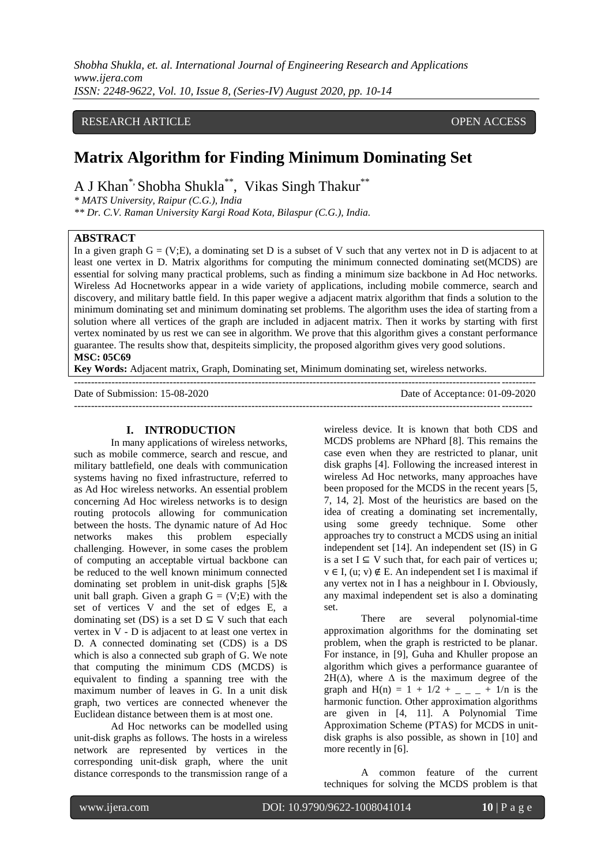*Shobha Shukla, et. al. International Journal of Engineering Research and Applications www.ijera.com ISSN: 2248-9622, Vol. 10, Issue 8, (Series-IV) August 2020, pp. 10-14*

#### RESEARCH ARTICLE **CONSERVERS** OPEN ACCESS

# **Matrix Algorithm for Finding Minimum Dominating Set**

A J Khan<sup>\*,</sup> Shobha Shukla<sup>\*\*</sup>, Vikas Singh Thakur<sup>\*\*</sup>

*\* MATS University, Raipur (C.G.), India*

*\*\* Dr. C.V. Raman University Kargi Road Kota, Bilaspur (C.G.), India.* 

#### **ABSTRACT**

In a given graph  $G = (V;E)$ , a dominating set D is a subset of V such that any vertex not in D is adjacent to at least one vertex in D. Matrix algorithms for computing the minimum connected dominating set(MCDS) are essential for solving many practical problems, such as finding a minimum size backbone in Ad Hoc networks. Wireless Ad Hocnetworks appear in a wide variety of applications, including mobile commerce, search and discovery, and military battle field. In this paper wegive a adjacent matrix algorithm that finds a solution to the minimum dominating set and minimum dominating set problems. The algorithm uses the idea of starting from a solution where all vertices of the graph are included in adjacent matrix. Then it works by starting with first vertex nominated by us rest we can see in algorithm. We prove that this algorithm gives a constant performance guarantee. The results show that, despiteits simplicity, the proposed algorithm gives very good solutions. **MSC: 05C69** 

**Key Words:** Adjacent matrix, Graph, Dominating set, Minimum dominating set, wireless networks.

| Date of Submission: 15-08-2020 | Date of Acceptance: 01-09-2020 |
|--------------------------------|--------------------------------|
|                                |                                |

#### **I. INTRODUCTION**

In many applications of wireless networks, such as mobile commerce, search and rescue, and military battlefield, one deals with communication systems having no fixed infrastructure, referred to as Ad Hoc wireless networks. An essential problem concerning Ad Hoc wireless networks is to design routing protocols allowing for communication between the hosts. The dynamic nature of Ad Hoc networks makes this problem especially challenging. However, in some cases the problem of computing an acceptable virtual backbone can be reduced to the well known minimum connected dominating set problem in unit-disk graphs [5]& unit ball graph. Given a graph  $G = (V;E)$  with the set of vertices V and the set of edges E, a dominating set (DS) is a set  $D \subseteq V$  such that each vertex in V - D is adjacent to at least one vertex in D. A connected dominating set (CDS) is a DS which is also a connected sub graph of G. We note that computing the minimum CDS (MCDS) is equivalent to finding a spanning tree with the maximum number of leaves in G. In a unit disk graph, two vertices are connected whenever the Euclidean distance between them is at most one.

Ad Hoc networks can be modelled using unit-disk graphs as follows. The hosts in a wireless network are represented by vertices in the corresponding unit-disk graph, where the unit distance corresponds to the transmission range of a wireless device. It is known that both CDS and MCDS problems are NPhard [8]. This remains the case even when they are restricted to planar, unit disk graphs [4]. Following the increased interest in wireless Ad Hoc networks, many approaches have been proposed for the MCDS in the recent years [5, 7, 14, 2]. Most of the heuristics are based on the idea of creating a dominating set incrementally, using some greedy technique. Some other approaches try to construct a MCDS using an initial independent set [14]. An independent set (IS) in G is a set  $I \subseteq V$  such that, for each pair of vertices u;  $v \in I$ , (u; v)  $\notin$  E. An independent set I is maximal if any vertex not in I has a neighbour in I. Obviously, any maximal independent set is also a dominating set.

There are several polynomial-time approximation algorithms for the dominating set problem, when the graph is restricted to be planar. For instance, in [9], Guha and Khuller propose an algorithm which gives a performance guarantee of  $2H(\Delta)$ , where  $\Delta$  is the maximum degree of the graph and H(n) =  $1 + 1/2 + \_ - \_ + 1/n$  is the harmonic function. Other approximation algorithms are given in [4, 11]. A Polynomial Time Approximation Scheme (PTAS) for MCDS in unitdisk graphs is also possible, as shown in [10] and more recently in [6].

A common feature of the current techniques for solving the MCDS problem is that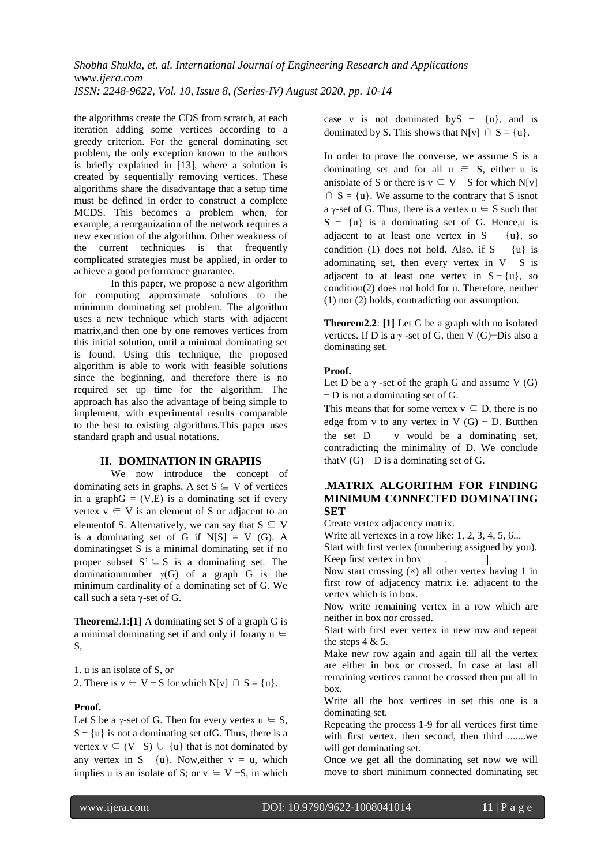the algorithms create the CDS from scratch, at each iteration adding some vertices according to a greedy criterion. For the general dominating set problem, the only exception known to the authors is briefly explained in [13], where a solution is created by sequentially removing vertices. These algorithms share the disadvantage that a setup time must be defined in order to construct a complete MCDS. This becomes a problem when, for example, a reorganization of the network requires a new execution of the algorithm. Other weakness of the current techniques is that frequently complicated strategies must be applied, in order to achieve a good performance guarantee.

In this paper, we propose a new algorithm for computing approximate solutions to the minimum dominating set problem. The algorithm uses a new technique which starts with adjacent matrix,and then one by one removes vertices from this initial solution, until a minimal dominating set is found. Using this technique, the proposed algorithm is able to work with feasible solutions since the beginning, and therefore there is no required set up time for the algorithm. The approach has also the advantage of being simple to implement, with experimental results comparable to the best to existing algorithms.This paper uses standard graph and usual notations.

#### **II. DOMINATION IN GRAPHS**

We now introduce the concept of dominating sets in graphs. A set  $S \subseteq V$  of vertices in a graph $G = (V,E)$  is a dominating set if every vertex  $v \in V$  is an element of S or adjacent to an elementof S. Alternatively, we can say that  $S \subseteq V$ is a dominating set of G if  $N[S] = V(G)$ . A dominatingset S is a minimal dominating set if no proper subset  $S' \subseteq S$  is a dominating set. The dominationnumber  $γ(G)$  of a graph G is the minimum cardinality of a dominating set of G. We call such a seta γ-set of G.

**Theorem**2.1:**[1]** A dominating set S of a graph G is a minimal dominating set if and only if forany  $u \in$ S,

1. u is an isolate of S, or 2. There is  $v \in V - S$  for which N[v]  $\cap S = \{u\}.$ 

#### **Proof.**

Let S be a  $\gamma$ -set of G. Then for every vertex  $u \in S$ ,  $S - \{u\}$  is not a dominating set of G. Thus, there is a vertex  $v \in (V - S) \cup \{u\}$  that is not dominated by any vertex in  $S - \{u\}$ . Now, either  $v = u$ , which implies u is an isolate of S; or  $v \in V$  –S, in which case v is not dominated by  $S - \{u\}$ , and is dominated by S. This shows that N[v]  $\cap$  S = {u}.

In order to prove the converse, we assume S is a dominating set and for all  $u \in S$ , either u is anisolate of S or there is  $v \in V - S$  for which N[v]  $\cap$  S = {u}. We assume to the contrary that S isnot a γ-set of G. Thus, there is a vertex  $u \in S$  such that S − {u} is a dominating set of G. Hence,u is adjacent to at least one vertex in  $S - \{u\}$ , so condition (1) does not hold. Also, if  $S - \{u\}$  is adominating set, then every vertex in V  $-S$  is adjacent to at least one vertex in  $S - \{u\}$ , so condition(2) does not hold for u. Therefore, neither (1) nor (2) holds, contradicting our assumption.

**Theorem2.2**: **[1]** Let G be a graph with no isolated vertices. If D is a  $\gamma$  -set of G, then V (G)–Dis also a dominating set.

#### **Proof.**

Let D be a  $\gamma$  -set of the graph G and assume V (G) − D is not a dominating set of G.

This means that for some vertex  $v \in D$ , there is no edge from v to any vertex in V  $(G)$  – D. Butthen the set  $D - v$  would be a dominating set, contradicting the minimality of D. We conclude thatV  $(G)$  − D is a dominating set of G.

#### .**MATRIX ALGORITHM FOR FINDING MINIMUM CONNECTED DOMINATING SET**

Create vertex adjacency matrix.

Write all vertexes in a row like: 1, 2, 3, 4, 5, 6...

Start with first vertex (numbering assigned by you). Keep first vertex in box .  $\overline{\phantom{a}}$ 

Now start crossing  $(x)$  all other vertex having 1 in first row of adjacency matrix i.e. adjacent to the vertex which is in box.

Now write remaining vertex in a row which are neither in box nor crossed.

Start with first ever vertex in new row and repeat the steps  $4 & 5$ .

Make new row again and again till all the vertex are either in box or crossed. In case at last all remaining vertices cannot be crossed then put all in box.

Write all the box vertices in set this one is a dominating set.

Repeating the process 1-9 for all vertices first time with first vertex, then second, then third .......we will get dominating set.

Once we get all the dominating set now we will move to short minimum connected dominating set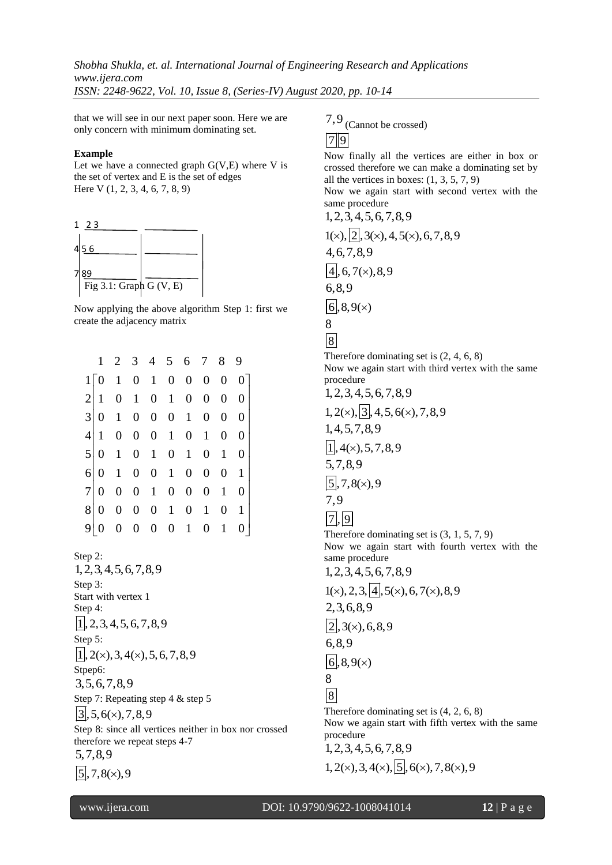*Shobha Shukla, et. al. International Journal of Engineering Research and Applications www.ijera.com ISSN: 2248-9622, Vol. 10, Issue 8, (Series-IV) August 2020, pp. 10-14*

that we will see in our next paper soon. Here we are only concern with minimum dominating set.

#### **Example**

Let we have a connected graph  $G(V,E)$  where V is the set of vertex and E is the set of edges Here V (1, 2, 3, 4, 6, 7, 8, 9)



Now applying the above algorithm Step 1: first we create the adjacency matrix

|   | 1 |  | 2 3 4 5 6 7 8 9                                                    |  |                     |                  |
|---|---|--|--------------------------------------------------------------------|--|---------------------|------------------|
|   |   |  | $1\begin{bmatrix} 0 & 1 & 0 & 1 & 0 & 0 & 0 & 0 & 0 \end{bmatrix}$ |  |                     |                  |
|   |   |  | $2 1 \t0 \t1 \t0 \t1 \t0$                                          |  | $0 \quad 0$         | $\theta$         |
|   |   |  | $3 \begin{vmatrix} 0 & 1 & 0 & 0 & 0 & 1 & 0 & 0 \end{vmatrix}$    |  |                     | $\overline{0}$   |
|   |   |  | $4\begin{vmatrix} 1 & 0 & 0 & 0 & 1 & 0 & 1 & 0 \end{vmatrix}$     |  |                     | $\theta$         |
|   |   |  | $5\begin{vmatrix} 0 & 1 & 0 & 1 & 0 & 1 & 0 & 1 \end{vmatrix}$     |  |                     | $\boldsymbol{0}$ |
|   |   |  | $6 \begin{pmatrix} 0 & 1 & 0 & 0 & 1 & 0 \end{pmatrix}$            |  | $0 \quad 0 \quad 1$ |                  |
|   |   |  | $7 0 \t0 \t0 \t1 \t0 \t0 \t0 \t1$                                  |  |                     | $\theta$         |
| 8 |   |  | $0 \t0 \t0 \t0 \t1 \t0 \t1$                                        |  |                     | 0 <sub>1</sub>   |
| 9 |   |  | $0 \t 0 \t 0 \t 0 \t 1 \t 0 \t 1$                                  |  |                     |                  |

Step 2: 1,2,3,4,5,6,7,8,9 Step 3: Start with vertex 1 Step 4:  $|1|$ , 2, 3, 4, 5, 6, 7, 8, 9 Step 5:  $|1|, 2(x), 3, 4(x), 5, 6, 7, 8, 9$ Stpep<sub>6</sub>: 3,5,6,7,8,9 Step 7: Repeating step 4 & step 5  $3,5,6(x),7,8,9$ Step 8: since all vertices neither in box nor crossed therefore we repeat steps 4-7 5,7,8,9  $|5|, 7, 8(x), 9$ 

7,9 (Cannot be crossed)

## $|7|9$

Now finally all the vertices are either in box or crossed therefore we can make a dominating set by all the vertices in boxes:  $(1, 3, 5, 7, 9)$ 

Now we again start with second vertex with the same procedure

 $1, 2, 3, 4, 5, 6, 7, 8, 9$ <br> $1(x), [2], 3(x), 4, 5(x), 6, 7, 8, 9$ 4,6,7,8,9  $\sqrt{4}$ , 6,7(x), 8,9 6,8,9  $|6|, 8, 9(x)$ 8

8

Therefore dominating set is (2, 4, 6, 8) Now we again start with third vertex with the same procedure

 $1, 2, 3, 4, 5, 6, 7, 8, 9$ <br> $1, 2(\times), \overline{3}, 4, 5, 6(\times), 7, 8, 9$ 1,4,5,7,8,9  $\sqrt{1}$ , 4(x), 5, 7, 8, 9 5,7,8,9  $\sqrt{5}$ , 7, 8(x), 9 7,9  $\sqrt{7}$ , 9 Therefore dominating set is (3, 1, 5, 7, 9) Now we again start with fourth vertex with the same procedure  $1,2,3,4,5,6,7,8,9$ <br> $1(x),2,3,4,5(x),6,7(x),8,9$ 2,3,6,8,9  $\sqrt{2}$ , 3(x), 6,8,9 6,8,9  $|6|, 8, 9(x)$ 8 8 Therefore dominating set is (4, 2, 6, 8) Now we again start with fifth vertex with the same procedure 1, 2, 3, 4, 5, 6, 7, 8, 9<br>1, 2( $\times$ ), 3, 4( $\times$ ),  $\overline{5}$ , 6( $\times$ ), 7, 8( $\times$ ), 9

www.ijera.com DOI: 10.9790/9622-1008041014 **12** | P a g e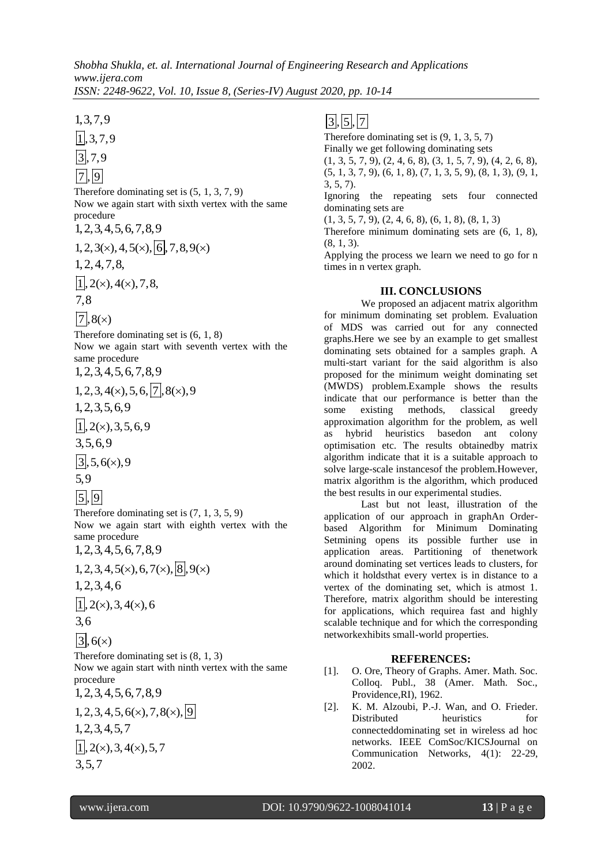Therefore dominating set is (5, 1, 3, 7, 9) Now we again start with sixth vertex with the same procedure

 $1,2,3,4,5,6,7,8,9$ <br> $1,2,3(x),4,5(x), 6,7,8,9(x)$ 

1,2,4,7,8,

 $\overline{11}, 2(x), 4(x), 7, 8,$ 

7,8

 $\sqrt{7}$ , 8(x)

Therefore dominating set is (6, 1, 8) Now we again start with seventh vertex with the same procedure

 $1,2,3,4,5,6,7,8,9$ <br> $1,2,3,4$  (c),  $5,6,7,8,9$ 

 1,3,7,9 1 ,3,7,9 3 ,7,9 7 , 9 1,2,3,5,6,9 1 , 2( ),3,5,6,9 3,5,6,9 3 ,5,6( ),9 3,5,7 3 , 5 , 7

$$
5,9
$$

 $|5|, |9|$ 

Therefore dominating set is (7, 1, 3, 5, 9) Now we again start with eighth vertex with the same procedure

 $1,2,3,4,5,6,7,8,9$ <br> $1,2,3,4,5(x),6,7(x), 8,9(x)$ 

1,2,3,4,6

 $1,2(x),3,4(x),6$ 3,6

$$
\boxed{3}, 6(x)
$$

Therefore dominating set is (8, 1, 3) Now we again start with ninth vertex with the same

procedure  $1, 2, 3, 4, 5, 6, 7, 8, 9$ <br>1, 2, 3, 4, 5, 6( $\times$ ), 7, 8( $\times$ ), 9

1,2,3,4,5,7  $\overline{1}$ , 2(x), 3, 4(x), 5, 7

Therefore dominating set is (9, 1, 3, 5, 7) Finally we get following dominating sets  $(1, 3, 5, 7, 9), (2, 4, 6, 8), (3, 1, 5, 7, 9), (4, 2, 6, 8),$  $(5, 1, 3, 7, 9)$ ,  $(6, 1, 8)$ ,  $(7, 1, 3, 5, 9)$ ,  $(8, 1, 3)$ ,  $(9, 1, 1)$ 3, 5, 7). Ignoring the repeating sets four connected dominating sets are

 $(1, 3, 5, 7, 9), (2, 4, 6, 8), (6, 1, 8), (8, 1, 3)$ 

Therefore minimum dominating sets are (6, 1, 8), (8, 1, 3).

Applying the process we learn we need to go for n times in n vertex graph.

## **III. CONCLUSIONS**

We proposed an adjacent matrix algorithm for minimum dominating set problem. Evaluation of MDS was carried out for any connected graphs.Here we see by an example to get smallest dominating sets obtained for a samples graph. A multi-start variant for the said algorithm is also proposed for the minimum weight dominating set (MWDS) problem.Example shows the results indicate that our performance is better than the some existing methods, classical greedy approximation algorithm for the problem, as well as hybrid heuristics basedon ant colony optimisation etc. The results obtainedby matrix algorithm indicate that it is a suitable approach to solve large-scale instancesof the problem.However, matrix algorithm is the algorithm, which produced the best results in our experimental studies.

Last but not least, illustration of the application of our approach in graphAn Orderbased Algorithm for Minimum Dominating Setmining opens its possible further use in application areas. Partitioning of thenetwork around dominating set vertices leads to clusters, for which it holdsthat every vertex is in distance to a vertex of the dominating set, which is atmost 1. Therefore, matrix algorithm should be interesting for applications, which requirea fast and highly scalable technique and for which the corresponding networkexhibits small-world properties.

## **REFERENCES:**

- [1]. O. Ore, Theory of Graphs. Amer. Math. Soc. Colloq. Publ., 38 (Amer. Math. Soc., Providence,RI), 1962.
- [2]. K. M. Alzoubi, P.-J. Wan, and O. Frieder. Distributed heuristics for connecteddominating set in wireless ad hoc networks. IEEE ComSoc/KICSJournal on Communication Networks, 4(1): 22-29, 2002.